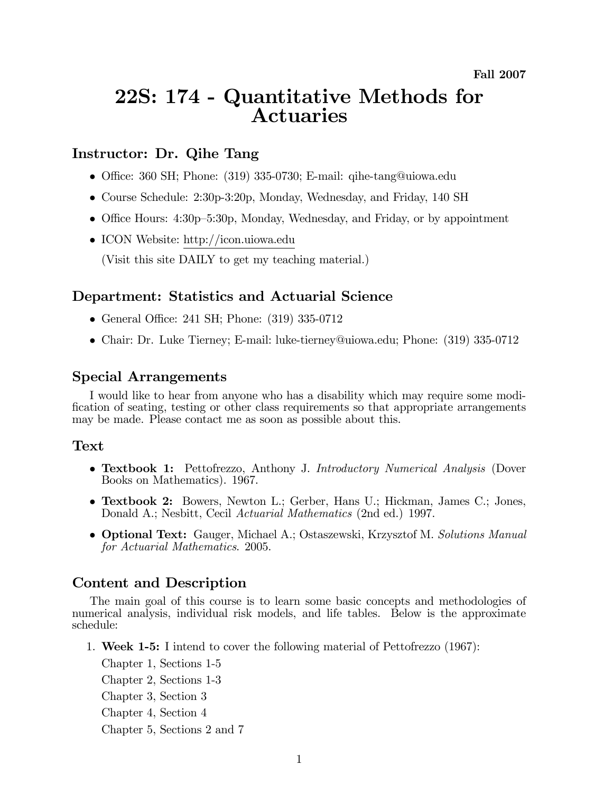# 22S: 174 - Quantitative Methods for **Actuaries**

## Instructor: Dr. Qihe Tang

- Office: 360 SH; Phone: (319) 335-0730; E-mail: qihe-tang@uiowa.edu
- Course Schedule: 2:30p-3:20p, Monday, Wednesday, and Friday, 140 SH
- Office Hours:  $4:30p-5:30p$ , Monday, Wednesday, and Friday, or by appointment
- ICON Website: http://icon.uiowa.edu (Visit this site DAILY to get my teaching material.)

## Department: Statistics and Actuarial Science

- General Office: 241 SH; Phone: (319) 335-0712
- Chair: Dr. Luke Tierney; E-mail: luke-tierney@uiowa.edu; Phone: (319) 335-0712

#### Special Arrangements

I would like to hear from anyone who has a disability which may require some modification of seating, testing or other class requirements so that appropriate arrangements may be made. Please contact me as soon as possible about this.

#### Text

- Textbook 1: Pettofrezzo, Anthony J. Introductory Numerical Analysis (Dover Books on Mathematics). 1967.
- Textbook 2: Bowers, Newton L.; Gerber, Hans U.; Hickman, James C.; Jones, Donald A.; Nesbitt, Cecil *Actuarial Mathematics* (2nd ed.) 1997.
- Optional Text: Gauger, Michael A.; Ostaszewski, Krzysztof M. Solutions Manual for Actuarial Mathematics. 2005.

## Content and Description

The main goal of this course is to learn some basic concepts and methodologies of numerical analysis, individual risk models, and life tables. Below is the approximate schedule:

1. Week 1-5: I intend to cover the following material of Pettofrezzo (1967):

Chapter 1, Sections 1-5 Chapter 2, Sections 1-3 Chapter 3, Section 3 Chapter 4, Section 4 Chapter 5, Sections 2 and 7